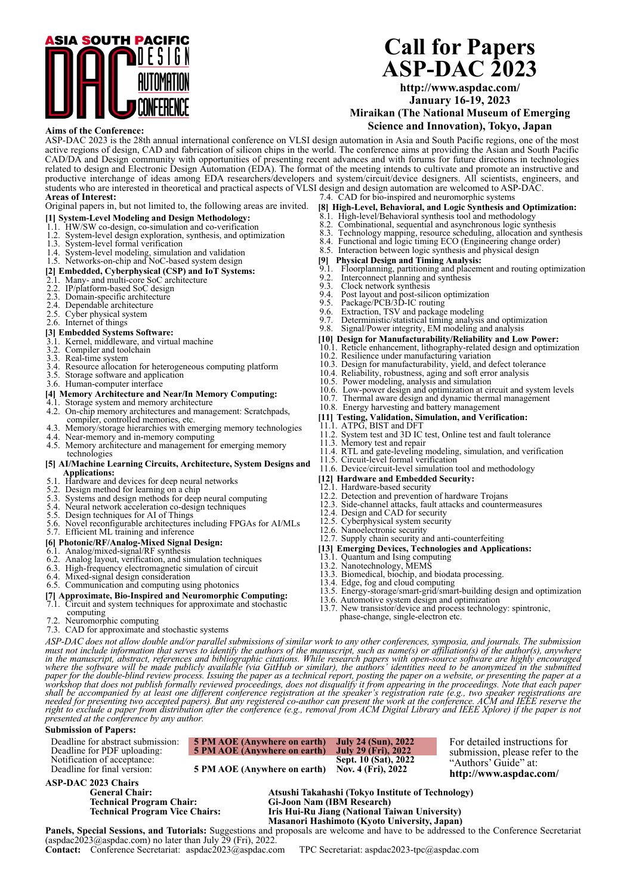

## **Call for Papers ASP-DAC 2023**

**http://www.aspdac.com/ January 16-19, 2023**

**Miraikan (The National Museum of Emerging Science and Innovation), Tokyo, Japan**

### **Aims of the Conference:**

ASP-DAC 2023 is the 28th annual international conference on VLSI design automation in Asia and South Pacific regions, one of the most active regions of design, CAD and fabrication of silicon chips in the world. The conference aims at providing the Asian and South Pacific CAD/DA and Design community with opportunities of presenting recent advances and with forums for future directions in technologies related to design and Electronic Design Automation (EDA). The format of the meeting intends to cultivate and promote an instructive and productive interchange of ideas among EDA researchers/developers and system/circuit/device designers. All scientists, engineers, and students who are interested in theoretical and practical aspects of VLSI design and design automation are welcomed to ASP-DAC. **Areas of Interest:** 7.4. CAD for bio-inspired and neuromorphic systems

#### Original papers in, but not limited to, the following areas are invited.

- **[1] System-Level Modeling and Design Methodology:** 1.1. HW/SW co-design, co-simulation and co-verification
- 
- 1.2. System-level design exploration, synthesis, and optimization
- 1.3. System-level formal verification
- 

## 1.4. System-level modeling, simulation and validation 1.5. Networks-on-chip and NoC-based system design

# **[2] Embedded, Cyberphysical (CSP) and IoT Systems:** 2.1. Many- and multi-core SoC architecture

- 
- 2.2. IP/platform-based SoC design
- 2.3. Domain-specific architecture
- 2.4. Dependable architecture
- 2.5. Cyber physical system 2.6. Internet of things
- 
- **[3] Embedded Systems Software:**
- 3.1. Kernel, middleware, and virtual machine
- 3.2. Compiler and toolchain
- 3.3. Real-time system
- 3.4. Resource allocation for heterogeneous computing platform
- 3.5. Storage software and application
- 3.6. Human-computer interface

## **[4] Memory Architecture and Near/In Memory Computing:** 4.1. Storage system and memory architecture

- 
- 4.2. On-chip memory architectures and management: Scratchpads, compiler, controlled memories, etc.
- 4.3. Memory/storage hierarchies with emerging memory technologies
- 
- 4.4. Near-memory and in-memory computing 4.5. Memory architecture and management for emerging memory technologies
- **[5] AI/Machine Learning Circuits, Architecture, System Designs and Applications:**<br>
5.1. Hardware and devices for deep neural networks<br>
5.2. Design method for learning on a chip<br>
5.3. Systems and design methods for deep neural computing
- 
- 
- 
- 5.4. Neural network acceleration co-design techniques
- 5.5. Design techniques for AI of Things
- 5.6. Novel reconfigurable architectures including FPGAs for AI/MLs 5.7. Efficient ML training and inference

### **[6] Photonic/RF/Analog-Mixed Signal Design:**

### 6.1. Analog/mixed-signal/RF synthesis

- 6.2. Analog layout, verification, and simulation techniques
- 6.3. High-frequency electromagnetic simulation of circuit 6.4. Mixed-signal design consideration
- 
- 6.5. Communication and computing using photonics
- **[7] Approximate, Bio-Inspired and Neuromorphic Computing:** 7.1. Circuit and system techniques for approximate and stochastic
- Circuit and system techniques for approximate and stochastic<br>computing
- 
- 7.2. Neuromorphic computing 7.3. CAD for approximate and stochastic systems
- **[8] High-Level, Behavioral, and Logic Synthesis and Optimization:**
- 
- 8.1. High-level/Behavioral synthesis tool and methodology 8.2. Combinational, sequential and asynchronous logic syn 8.3. Technology mapping, resource scheduling, allocation
- 8.2. Combinational, sequential and asynchronous logic synthesis 8.3. Technology mapping, resource scheduling, allocation and synthesis
- 8.4. Functional and logic timing ECO (Engineering change order)
- 8.5. Interaction between logic synthesis and physical design [9] Physical Design and Timing Analysis:<br>9.1. Floorplanning, partitioning and placement and routing
- 
- **[9] Physical Design and Timing Analysis:** 9.1. Floorplanning, partitioning and placement and routing optimization 9.2. Interconnect planning and synthesis
- 
- 9.3. Clock network synthesis<br>9.4. Post layout and post-silic 9.4. Post layout and post-silicon optimization 9.5. Package/PCB/3D-IC routing
- 
- 9.6. Extraction, TSV and package modeling
- 9.7. Deterministic/statistical timing analysis and optimization
- 9.8. Signal/Power integrity, EM modeling and analysis
- 
- **[10] Design for Manufacturability/Reliability and Low Power:** 10.1. Reticle enhancement, lithography-related design and optimization 10.2. Resilience under manufacturing variation
- 
- 10.3. Design for manufacturability, yield, and defect tolerance
- 10.4. Reliability, robustness, aging and soft error analysis 10.5. Power modeling, analysis and simulation
- 
- 10.6. Low-power design and optimization at circuit and system levels
- 10.7. Thermal aware design and dynamic thermal management 10.8. Energy harvesting and battery management
- 
- **[11] Testing, Validation, Simulation, and Verification:** 11.1. ATPG, BIST and DFT
- 
- 11.2. System test and 3D IC test, Online test and fault tolerance 11.3. Memory test and repair
- 11.4. RTL and gate-leveling modeling, simulation, and verification
- 11.5. Circuit-level formal verification
- 11.6. Device/circuit-level simulation tool and methodology
- **[12] Hardware and Embedded Security:**
- 12.1. Hardware-based security
- 12.2. Detection and prevention of hardware Trojans
- 12.3. Side-channel attacks, fault attacks and countermeasures 12.4. Design and CAD for security
- 
- 12.5. Cyberphysical system security
- 
- 12.6. Nanoelectronic security 12.7. Supply chain security and anti-counterfeiting
- **[13] Emerging Devices, Technologies and Applications:** 13.1. Quantum and Ising computing 13.2. Nanotechnology, MEMS 13.3. Biomedical, biochip, and biodata processing.
- 

**Technical Program Vice Chairs: Iris Hui-Ru Jiang (National Taiwan University) Masanori Hashimoto (Kyoto University, Japan)**

- 
- 
- 
- 13.4. Edge, fog and cloud computing 13.5. Energy-storage/smart-grid/smart-building design and optimization 13.6. Automotive system design and optimization
- 
- 13.7. New transistor/device and process technology: spintronic, phase-change, single-electron etc.

*ASP-DAC does not allow double and/or parallel submissions of similar work to any other conferences, symposia, and journals. The submission*   $\mu$  on the manuscript, abstract, references and bibliographic citations of shamal vort to any one conferences, symptosia, and you have not include information that serves to identify the authors of the manuscript, such a paper for the double-blind review process. Issuing the paper as a technical report, posting the paper on a website, or presenting the paper at a<br>workshop that does not publish formally reviewed proceedings, does not disqua right to exclude a paper from distribution after the conference (e.g., removal from ACM Digital Library and IEEE Xplore) if the paper is not<br>presented at the conference by any author.

**Panels, Special Sessions, and Tutorials:** Suggestions and proposals are welcome and have to be addressed to the Conference Secretariat

### **Submission of Papers:**

| Deadline for abstract submission: | 5 PM AOE (Anywhere on earth) July 24 (Sun), 2022 | <b>July 29 (Fri), 2022</b> | For detailed instructions for   |
|-----------------------------------|--------------------------------------------------|----------------------------|---------------------------------|
| Deadline for PDF uploading:       | 5 PM AOE (Anywhere on earth)                     |                            | submission, please refer to the |
| Notification of acceptance:       | 5 PM AOE (Anywhere on earth)                     | Sept. 10 (Sat), 2022       | "Authors' Guide" at:            |
| Deadline for final version:       |                                                  | Nov. 4 (Fri), 2022         | http://www.aspdac.com/          |

**Contact:** Conference Secretariat: aspdac2023@aspdac.com TPC Secretariat: aspdac2023-tpc@aspdac.com

**ASP-DAC 2023 Chairs**

**General Chair: Atsushi Takahashi (Tokyo Institute of Technology) Technical Program Chair: Gi-Joon Nam (IBM Research)**

(aspdac2023@aspdac.com) no later than July 29 (Fri), 2022.